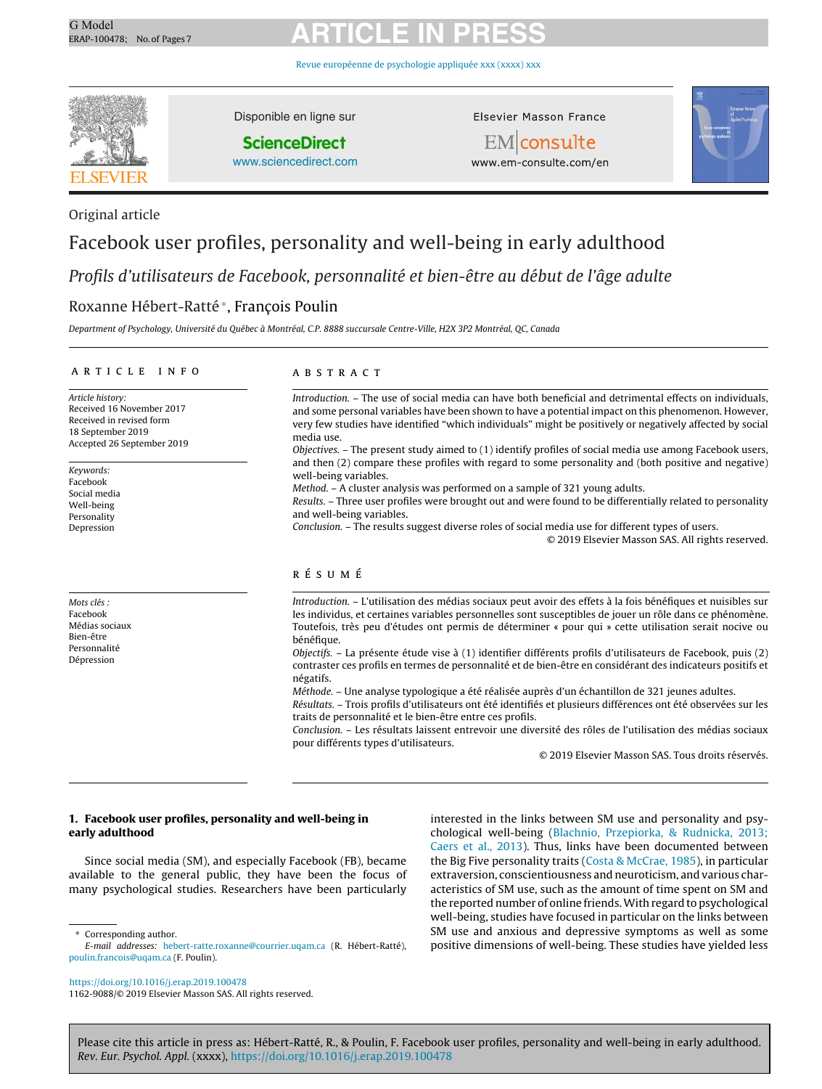Revue [européenne](https://doi.org/10.1016/j.erap.2019.100478) de psychologie appliquée xxx (xxxx) xxx



Original article

Disponible en ligne sur

## **ScienceDirect**

[www.sciencedirect.com](http://www.sciencedirect.com/science/journal/11629088)

**Elsevier Masson France** 



EM consulte www.em-consulte.com/en

## Facebook user profiles, personality and well-being in early adulthood

Profils d'utilisateurs de Facebook, personnalité et bien-être au début de l'âge adulte

## Roxanne Hébert-Ratté<sup>∗</sup>, François Poulin

Department of Psychology, Université du Québec à Montréal, C.P. 8888 succursale Centre-Ville, H2X 3P2 Montréal, QC, Canada

#### a r t i c l e i n f o

Article history: Received 16 November 2017 Received in revised form 18 September 2019 Accepted 26 September 2019

Keywords: Facebook Social media Well-being Personality Depression

Mots clés : Facebook Médias sociaux Bien-être Personnalité Dépression

## A B S T R A C T

Introduction. – The use of social media can have both beneficial and detrimental effects on individuals, and some personal variables have been shown to have a potential impact on this phenomenon. However, very few studies have identified "which individuals" might be positively or negatively affected by social media use.

Objectives. – The present study aimed to (1) identify profiles of social media use among Facebook users, and then (2) compare these profiles with regard to some personality and (both positive and negative) well-being variables.

Method. – A cluster analysis was performed on a sample of 321 young adults.

Results. – Three user profiles were brought out and were found to be differentially related to personality and well-being variables.

Conclusion. – The results suggest diverse roles of social media use for different types of users.

© 2019 Elsevier Masson SAS. All rights reserved.

## r é s u m é

Introduction. – L'utilisation des médias sociaux peut avoir des effets à la fois bénéfiques et nuisibles sur les individus, et certaines variables personnelles sont susceptibles de jouer un rôle dans ce phénomène. Toutefois, très peu d'études ont permis de déterminer « pour qui » cette utilisation serait nocive ou bénéfique.

Objectifs. – La présente étude vise à (1) identifier différents profils d'utilisateurs de Facebook, puis (2) contraster ces profils en termes de personnalité et de bien-être en considérant des indicateurs positifs et négatifs.

Méthode. – Une analyse typologique a été réalisée auprès d'un échantillon de 321 jeunes adultes.

Résultats. – Trois profils d'utilisateurs ont été identifiés et plusieurs différences ont été observées sur les traits de personnalité et le bien-être entre ces profils.

Conclusion. – Les résultats laissent entrevoir une diversité des rôles de l'utilisation des médias sociaux pour différents types d'utilisateurs.

© 2019 Elsevier Masson SAS. Tous droits réservés.

## **1. Facebook user profiles, personality and well-being in early adulthood**

Since social media (SM), and especially Facebook (FB), became available to the general public, they have been the focus of many psychological studies. Researchers have been particularly

interested in the links between SM use and personality and psychological well-being [\(Blachnio,](#page-5-0) [Przepiorka,](#page-5-0) [&](#page-5-0) [Rudnicka,](#page-5-0) [2013;](#page-5-0) [Caers](#page-5-0) et [al.,](#page-5-0) [2013\).](#page-5-0) Thus, links have been documented between the Big Five personality traits ([Costa](#page-5-0) [&](#page-5-0) [McCrae,](#page-5-0) [1985\),](#page-5-0) in particular extraversion, conscientiousness and neuroticism, and various characteristics of SM use, such as the amount of time spent on SM and the reported number of online friends.With regard to psychological well-being, studies have focused in particular on the links between SM use and anxious and depressive symptoms as well as some positive dimensions of well-being. These studies have yielded less

<https://doi.org/10.1016/j.erap.2019.100478> 1162-9088/© 2019 Elsevier Masson SAS. All rights reserved.

<sup>∗</sup> Corresponding author.

E-mail addresses: [hebert-ratte.roxanne@courrier.uqam.ca](mailto:hebert-ratte.roxanne@courrier.uqam.ca) (R. Hébert-Ratté), [poulin.francois@uqam.ca](mailto:poulin.francois@uqam.ca) (F. Poulin).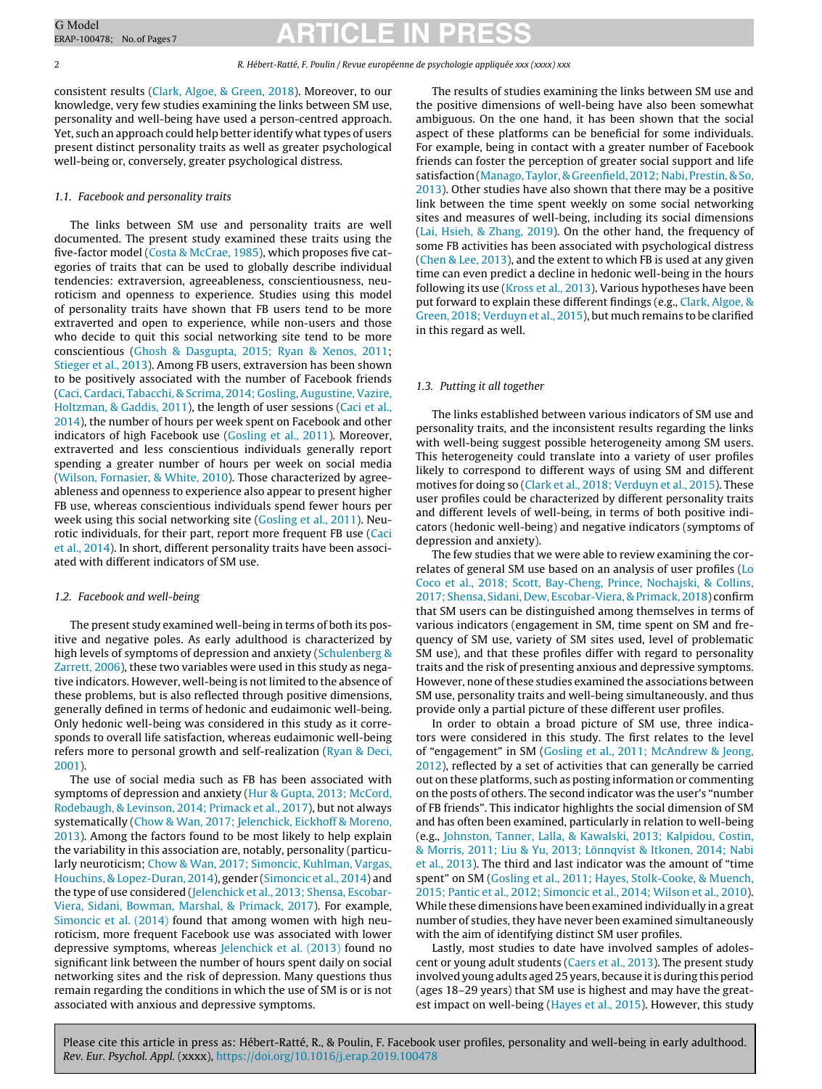consistent results [\(Clark,](#page-5-0) [Algoe,](#page-5-0) [&](#page-5-0) [Green,](#page-5-0) [2018\).](#page-5-0) Moreover, to our knowledge, very few studies examining the links between SM use, personality and well-being have used a person-centred approach. Yet, such an approach could help better identify what types of users present distinct personality traits as well as greater psychological well-being or, conversely, greater psychological distress.

#### 1.1. Facebook and personality traits

The links between SM use and personality traits are well documented. The present study examined these traits using the five-factor model [\(Costa](#page-5-0) [&](#page-5-0) [McCrae,](#page-5-0) [1985\),](#page-5-0) which proposes five categories of traits that can be used to globally describe individual tendencies: extraversion, agreeableness, conscientiousness, neuroticism and openness to experience. Studies using this model of personality traits have shown that FB users tend to be more extraverted and open to experience, while non-users and those who decide to quit this social networking site tend to be more conscientious [\(Ghosh](#page-6-0) [&](#page-6-0) [Dasgupta,](#page-6-0) [2015;](#page-6-0) [Ryan](#page-6-0) [&](#page-6-0) [Xenos,](#page-6-0) [2011;](#page-6-0) [Stieger](#page-6-0) et [al.,](#page-6-0) [2013\).](#page-6-0) Among FB users, extraversion has been shown to be positively associated with the number of Facebook friends ([Caci,](#page-5-0) [Cardaci,](#page-5-0) [Tabacchi,](#page-5-0) [&](#page-5-0) [Scrima,](#page-5-0) [2014;](#page-5-0) [Gosling,](#page-5-0) [Augustine,](#page-5-0) [Vazire,](#page-5-0) [Holtzman,](#page-5-0) [&](#page-5-0) [Gaddis,](#page-5-0) [2011\),](#page-5-0) the length of user sessions [\(Caci](#page-5-0) et [al.,](#page-5-0) [2014\),](#page-5-0) the number of hours per week spent on Facebook and other indicators of high Facebook use [\(Gosling](#page-6-0) et [al.,](#page-6-0) [2011\).](#page-6-0) Moreover, extraverted and less conscientious individuals generally report spending a greater number of hours per week on social media ([Wilson,](#page-6-0) [Fornasier,](#page-6-0) [&](#page-6-0) [White,](#page-6-0) [2010\).](#page-6-0) Those characterized by agreeableness and openness to experience also appear to present higher FB use, whereas conscientious individuals spend fewer hours per week using this social networking site [\(Gosling](#page-6-0) et [al.,](#page-6-0) [2011\).](#page-6-0) Neurotic individuals, for their part, report more frequent FB use ([Caci](#page-5-0) et [al.,](#page-5-0) [2014\).](#page-5-0) In short, different personality traits have been associated with different indicators of SM use.

#### 1.2. Facebook and well-being

The present study examined well-being in terms of both its positive and negative poles. As early adulthood is characterized by high levels of symptoms of depression and anxiety ([Schulenberg](#page-6-0) [&](#page-6-0) [Zarrett,](#page-6-0) [2006\),](#page-6-0) these two variables were used in this study as negative indicators. However, well-being is not limited to the absence of these problems, but is also reflected through positive dimensions, generally defined in terms of hedonic and eudaimonic well-being. Only hedonic well-being was considered in this study as it corresponds to overall life satisfaction, whereas eudaimonic well-being refers more to personal growth and self-realization ([Ryan](#page-6-0) [&](#page-6-0) [Deci,](#page-6-0) [2001\).](#page-6-0)

The use of social media such as FB has been associated with symptoms of depression and anxiety [\(Hur](#page-6-0) [&](#page-6-0) [Gupta,](#page-6-0) [2013;](#page-6-0) [McCord,](#page-6-0) [Rodebaugh,](#page-6-0) [&](#page-6-0) [Levinson,](#page-6-0) [2014;](#page-6-0) [Primack](#page-6-0) et [al.,](#page-6-0) [2017\),](#page-6-0) but not always systematically ([Chow](#page-5-0) [&](#page-5-0) [Wan,](#page-5-0) [2017;](#page-5-0) [Jelenchick,](#page-5-0) [Eickhoff](#page-5-0) [&](#page-5-0) [Moreno,](#page-5-0) [2013\).](#page-5-0) Among the factors found to be most likely to help explain the variability in this association are, notably, personality (particularly neuroticism; [Chow](#page-5-0) [&](#page-5-0) [Wan,](#page-5-0) [2017;](#page-5-0) [Simoncic,](#page-5-0) [Kuhlman,](#page-5-0) [Vargas,](#page-5-0) [Houchins,](#page-5-0) [&](#page-5-0) [Lopez-Duran,](#page-5-0) [2014\),](#page-5-0) gender [\(Simoncic](#page-6-0) et [al.,](#page-6-0) [2014\)](#page-6-0) and the type of use considered ([Jelenchick](#page-6-0) et [al.,](#page-6-0) [2013;](#page-6-0) [Shensa,](#page-6-0) [Escobar-](#page-6-0)Viera, [Sidani,](#page-6-0) [Bowman,](#page-6-0) [Marshal,](#page-6-0) [&](#page-6-0) [Primack,](#page-6-0) [2017\).](#page-6-0) For example, [Simoncic](#page-6-0) et [al.](#page-6-0) [\(2014\)](#page-6-0) found that among women with high neuroticism, more frequent Facebook use was associated with lower depressive symptoms, whereas [Jelenchick](#page-6-0) et [al.](#page-6-0) [\(2013\)](#page-6-0) found no significant link between the number of hours spent daily on social networking sites and the risk of depression. Many questions thus remain regarding the conditions in which the use of SM is or is not associated with anxious and depressive symptoms.

The results of studies examining the links between SM use and the positive dimensions of well-being have also been somewhat ambiguous. On the one hand, it has been shown that the social aspect of these platforms can be beneficial for some individuals. For example, being in contact with a greater number of Facebook friends can foster the perception of greater social support and life satisfaction [\(Manago,](#page-6-0) [Taylor,](#page-6-0) [&](#page-6-0) [Greenfield,](#page-6-0) [2012;](#page-6-0) [Nabi,](#page-6-0) [Prestin,](#page-6-0) [&](#page-6-0) [So,](#page-6-0) [2013\).](#page-6-0) Other studies have also shown that there may be a positive link between the time spent weekly on some social networking sites and measures of well-being, including its social dimensions [\(Lai,](#page-6-0) [Hsieh,](#page-6-0) [&](#page-6-0) [Zhang,](#page-6-0) [2019\).](#page-6-0) On the other hand, the frequency of some FB activities has been associated with psychological distress [\(Chen](#page-5-0) [&](#page-5-0) [Lee,](#page-5-0) [2013\),](#page-5-0) and the extent to which FB is used at any given time can even predict a decline in hedonic well-being in the hours following its use [\(Kross](#page-6-0) et [al.,](#page-6-0) [2013\).](#page-6-0) Various hypotheses have been put forward to explain these different findings (e.g., [Clark,](#page-5-0) [Algoe,](#page-5-0) [&](#page-5-0) [Green,](#page-5-0) [2018;](#page-5-0) [Verduyn](#page-5-0) et [al.,](#page-5-0) [2015\),](#page-5-0) but much remains to be clarified in this regard as well.

#### 1.3. Putting it all together

The links established between various indicators of SM use and personality traits, and the inconsistent results regarding the links with well-being suggest possible heterogeneity among SM users. This heterogeneity could translate into a variety of user profiles likely to correspond to different ways of using SM and different motives for doing so ([Clark](#page-5-0) et [al.,](#page-5-0) [2018;](#page-5-0) [Verduyn](#page-5-0) et [al.,](#page-5-0) [2015\).](#page-5-0) These user profiles could be characterized by different personality traits and different levels of well-being, in terms of both positive indicators (hedonic well-being) and negative indicators (symptoms of depression and anxiety).

The few studies that we were able to review examining the correlates of general SM use based on an analysis of user profiles [\(Lo](#page-6-0) [Coco](#page-6-0) et [al.,](#page-6-0) [2018;](#page-6-0) [Scott,](#page-6-0) [Bay-Cheng,](#page-6-0) [Prince,](#page-6-0) [Nochajski,](#page-6-0) [&](#page-6-0) [Collins,](#page-6-0) [2017;](#page-6-0) [Shensa,](#page-6-0) [Sidani,](#page-6-0) [Dew,](#page-6-0) [Escobar-Viera,](#page-6-0) [&](#page-6-0) [Primack,](#page-6-0) [2018\)](#page-6-0) confirm that SM users can be distinguished among themselves in terms of various indicators (engagement in SM, time spent on SM and frequency of SM use, variety of SM sites used, level of problematic SM use), and that these profiles differ with regard to personality traits and the risk of presenting anxious and depressive symptoms. However, none of these studies examined the associations between SM use, personality traits and well-being simultaneously, and thus provide only a partial picture of these different user profiles.

In order to obtain a broad picture of SM use, three indicators were considered in this study. The first relates to the level of "engagement" in SM ([Gosling](#page-6-0) et [al.,](#page-6-0) [2011;](#page-6-0) [McAndrew](#page-6-0) [&](#page-6-0) [Jeong,](#page-6-0) [2012\),](#page-6-0) reflected by a set of activities that can generally be carried out on these platforms, such as posting information or commenting on the posts of others. The second indicator was the user's "number of FB friends". This indicator highlights the social dimension of SM and has often been examined, particularly in relation to well-being (e.g., [Johnston,](#page-6-0) [Tanner,](#page-6-0) [Lalla,](#page-6-0) [&](#page-6-0) [Kawalski,](#page-6-0) [2013;](#page-6-0) [Kalpidou,](#page-6-0) [Costin,](#page-6-0) [&](#page-6-0) [Morris,](#page-6-0) [2011;](#page-6-0) [Liu](#page-6-0) [&](#page-6-0) [Yu,](#page-6-0) [2013;](#page-6-0) [Lönnqvist](#page-6-0) [&](#page-6-0) [Itkonen,](#page-6-0) [2014;](#page-6-0) [Nabi](#page-6-0) et [al.,](#page-6-0) [2013\).](#page-6-0) The third and last indicator was the amount of "time spent" on SM [\(Gosling](#page-6-0) et [al.,](#page-6-0) [2011;](#page-6-0) [Hayes,](#page-6-0) [Stolk-Cooke,](#page-6-0) [&](#page-6-0) [Muench,](#page-6-0) [2015;](#page-6-0) [Pantic](#page-6-0) et [al.,](#page-6-0) [2012;](#page-6-0) [Simoncic](#page-6-0) et [al.,](#page-6-0) [2014;](#page-6-0) [Wilson](#page-6-0) et [al.,](#page-6-0) [2010\).](#page-6-0) While these dimensions have been examined individually in a great number of studies, they have never been examined simultaneously with the aim of identifying distinct SM user profiles.

Lastly, most studies to date have involved samples of adolescent or young adult students ([Caers](#page-5-0) et [al.,](#page-5-0) [2013\).](#page-5-0) The present study involved young adults aged 25 years, because it is during this period (ages 18–29 years) that SM use is highest and may have the greatest impact on well-being ([Hayes](#page-6-0) et [al.,](#page-6-0) [2015\).](#page-6-0) However, this study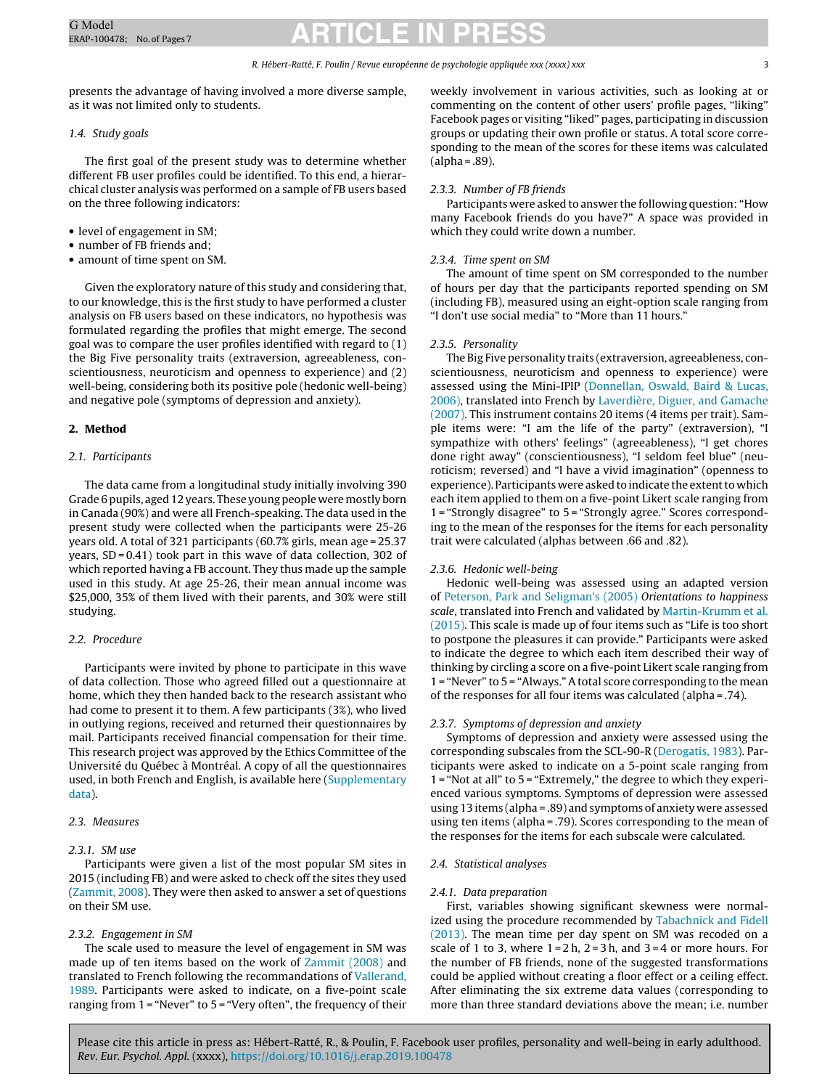#### R. Hébert-Ratté, F. Poulin / Revue européenne de psychologie appliquée xxx (xxxx) xxx 3

presents the advantage of having involved a more diverse sample, as it was not limited only to students.

## 1.4. Study goals

The first goal of the present study was to determine whether different FB user profiles could be identified. To this end, a hierarchical cluster analysis was performed on a sample of FB users based on the three following indicators:

- level of engagement in SM;
- number of FB friends and;
- amount of time spent on SM.

Given the exploratory nature of this study and considering that, to our knowledge, this is the first study to have performed a cluster analysis on FB users based on these indicators, no hypothesis was formulated regarding the profiles that might emerge. The second goal was to compare the user profiles identified with regard to (1) the Big Five personality traits (extraversion, agreeableness, conscientiousness, neuroticism and openness to experience) and (2) well-being, considering both its positive pole (hedonic well-being) and negative pole (symptoms of depression and anxiety).

### **2. Method**

#### 2.1. Participants

The data came from a longitudinal study initially involving 390 Grade 6 pupils, aged 12 years. These young people were mostly born in Canada (90%) and were all French-speaking. The data used in the present study were collected when the participants were 25-26 years old. A total of 321 participants (60.7% girls, mean age = 25.37 years, SD = 0.41) took part in this wave of data collection, 302 of which reported having a FB account. They thus made up the sample used in this study. At age 25-26, their mean annual income was \$25,000, 35% of them lived with their parents, and 30% were still studying.

#### 2.2. Procedure

Participants were invited by phone to participate in this wave of data collection. Those who agreed filled out a questionnaire at home, which they then handed back to the research assistant who had come to present it to them. A few participants (3%), who lived in outlying regions, received and returned their questionnaires by mail. Participants received financial compensation for their time. This research project was approved by the Ethics Committee of the Université du Québec à Montréal. A copy of all the questionnaires used, in both French and English, is available here ([Supplementary](#page-5-0) [data\).](#page-5-0)

## 2.3. Measures

## 2.3.1. SM use

Participants were given a list of the most popular SM sites in 2015 (including FB) and were asked to check off the sites they used ([Zammit,](#page-6-0) [2008\).](#page-6-0) They were then asked to answer a set of questions on their SM use.

## 2.3.2. Engagement in SM

The scale used to measure the level of engagement in SM was made up of ten items based on the work of [Zammit](#page-6-0) [\(2008\)](#page-6-0) and translated to French following the recommandations of [Vallerand,](#page-6-0) [1989.](#page-6-0) Participants were asked to indicate, on a five-point scale ranging from 1 = "Never" to 5 = "Very often", the frequency of their weekly involvement in various activities, such as looking at or commenting on the content of other users' profile pages, "liking" Facebook pages or visiting "liked" pages, participating in discussion groups or updating their own profile or status. A total score corresponding to the mean of the scores for these items was calculated  $(alpha=.89).$ 

### 2.3.3. Number of FB friends

Participants were asked to answer the following question: "How many Facebook friends do you have?" A space was provided in which they could write down a number.

### 2.3.4. Time spent on SM

The amount of time spent on SM corresponded to the number of hours per day that the participants reported spending on SM (including FB), measured using an eight-option scale ranging from "I don't use social media" to "More than 11 hours."

### 2.3.5. Personality

The Big Five personality traits (extraversion, agreeableness, conscientiousness, neuroticism and openness to experience) were assessed using the Mini-IPIP [\(Donnellan,](#page-6-0) [Oswald,](#page-6-0) [Baird](#page-6-0) [&](#page-6-0) [Lucas,](#page-6-0) [2006\),](#page-6-0) translated into French by [Laverdière,](#page-6-0) [Diguer,](#page-6-0) [and](#page-6-0) [Gamache](#page-6-0) [\(2007\).](#page-6-0) This instrument contains 20 items (4 items per trait). Sample items were: "I am the life of the party" (extraversion), "I sympathize with others' feelings" (agreeableness), "I get chores done right away" (conscientiousness), "I seldom feel blue" (neuroticism; reversed) and "I have a vivid imagination" (openness to experience). Participants were asked to indicate the extent to which each item applied to them on a five-point Likert scale ranging from 1 = "Strongly disagree" to 5 = "Strongly agree." Scores corresponding to the mean of the responses for the items for each personality trait were calculated (alphas between .66 and .82).

## 2.3.6. Hedonic well-being

Hedonic well-being was assessed using an adapted version of [Peterson,](#page-6-0) [Park](#page-6-0) [and](#page-6-0) [Seligman's](#page-6-0) [\(2005\)](#page-6-0) Orientations to happiness scale, translated into French and validated by [Martin-Krumm](#page-6-0) et [al.](#page-6-0) [\(2015\).](#page-6-0) This scale is made up of four items such as "Life is too short to postpone the pleasures it can provide." Participants were asked to indicate the degree to which each item described their way of thinking by circling a score on a five-point Likert scale ranging from 1 = "Never" to 5 = "Always." A total score corresponding to the mean of the responses for all four items was calculated (alpha = .74).

#### 2.3.7. Symptoms of depression and anxiety

Symptoms of depression and anxiety were assessed using the corresponding subscales from the SCL-90-R ([Derogatis,](#page-5-0) [1983\).](#page-5-0) Participants were asked to indicate on a 5-point scale ranging from 1 = "Not at all" to 5 = "Extremely," the degree to which they experienced various symptoms. Symptoms of depression were assessed using 13 items (alpha = .89) and symptoms of anxiety were assessed using ten items (alpha = .79). Scores corresponding to the mean of the responses for the items for each subscale were calculated.

#### 2.4. Statistical analyses

#### 2.4.1. Data preparation

First, variables showing significant skewness were normalized using the procedure recommended by [Tabachnick](#page-6-0) [and](#page-6-0) [Fidell](#page-6-0) [\(2013\).](#page-6-0) The mean time per day spent on SM was recoded on a scale of 1 to 3, where  $1 = 2 h$ ,  $2 = 3 h$ , and  $3 = 4$  or more hours. For the number of FB friends, none of the suggested transformations could be applied without creating a floor effect or a ceiling effect. After eliminating the six extreme data values (corresponding to more than three standard deviations above the mean; i.e. number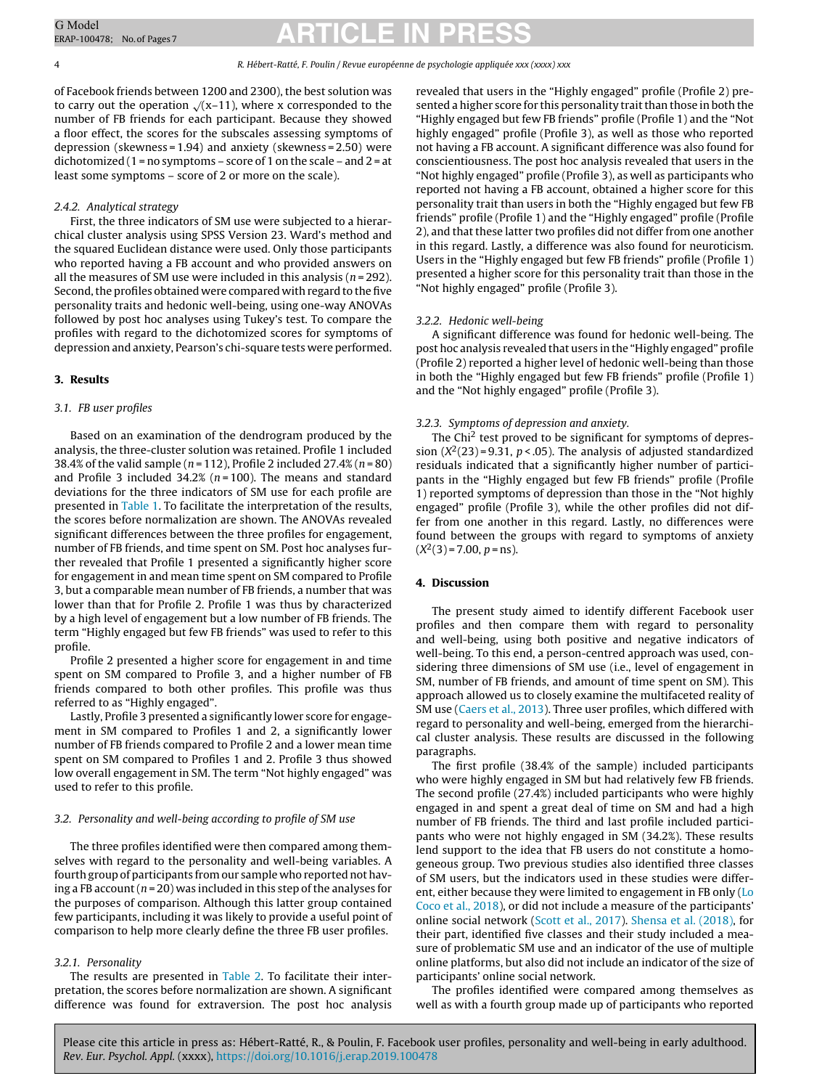#### 4 R. Hébert-Ratté, F. Poulin / Revue européenne de psychologie appliquée xxx (xxxx) xxx

of Facebook friends between 1200 and 2300), the best solution was to carry out the operation  $\sqrt{x}$ –11), where x corresponded to the number of FB friends for each participant. Because they showed a floor effect, the scores for the subscales assessing symptoms of depression (skewness = 1.94) and anxiety (skewness = 2.50) were dichotomized (1 = no symptoms – score of 1 on the scale – and 2 = at least some symptoms – score of 2 or more on the scale).

### 2.4.2. Analytical strategy

First, the three indicators of SM use were subjected to a hierarchical cluster analysis using SPSS Version 23. Ward's method and the squared Euclidean distance were used. Only those participants who reported having a FB account and who provided answers on all the measures of SM use were included in this analysis ( $n = 292$ ). Second, the profiles obtained were compared with regard to the five personality traits and hedonic well-being, using one-way ANOVAs followed by post hoc analyses using Tukey's test. To compare the profiles with regard to the dichotomized scores for symptoms of depression and anxiety, Pearson's chi-square tests were performed.

#### **3. Results**

#### 3.1. FB user profiles

Based on an examination of the dendrogram produced by the analysis, the three-cluster solution was retained. Profile 1 included 38.4% of the valid sample ( $n = 112$ ), Profile 2 included 27.4% ( $n = 80$ ) and Profile 3 included 34.2% ( $n = 100$ ). The means and standard deviations for the three indicators of SM use for each profile are presented in [Table](#page-4-0) 1. To facilitate the interpretation of the results, the scores before normalization are shown. The ANOVAs revealed significant differences between the three profiles for engagement, number of FB friends, and time spent on SM. Post hoc analyses further revealed that Profile 1 presented a significantly higher score for engagement in and mean time spent on SM compared to Profile 3, but a comparable mean number of FB friends, a number that was lower than that for Profile 2. Profile 1 was thus by characterized by a high level of engagement but a low number of FB friends. The term "Highly engaged but few FB friends" was used to refer to this profile.

Profile 2 presented a higher score for engagement in and time spent on SM compared to Profile 3, and a higher number of FB friends compared to both other profiles. This profile was thus referred to as "Highly engaged".

Lastly, Profile 3 presented a significantly lower score for engagement in SM compared to Profiles 1 and 2, a significantly lower number of FB friends compared to Profile 2 and a lower mean time spent on SM compared to Profiles 1 and 2. Profile 3 thus showed low overall engagement in SM. The term "Not highly engaged" was used to refer to this profile.

#### 3.2. Personality and well-being according to profile of SM use

The three profiles identified were then compared among themselves with regard to the personality and well-being variables. A fourth group of participants from our sample who reported not having a FB account ( $n = 20$ ) was included in this step of the analyses for the purposes of comparison. Although this latter group contained few participants, including it was likely to provide a useful point of comparison to help more clearly define the three FB user profiles.

#### 3.2.1. Personality

The results are presented in [Table](#page-4-0) 2. To facilitate their interpretation, the scores before normalization are shown. A significant difference was found for extraversion. The post hoc analysis revealed that users in the "Highly engaged" profile (Profile 2) presented a higher score for this personality trait than those in both the "Highly engaged but few FB friends" profile (Profile 1) and the "Not highly engaged" profile (Profile 3), as well as those who reported not having a FB account. A significant difference was also found for conscientiousness. The post hoc analysis revealed that users in the "Not highly engaged" profile (Profile 3), as well as participants who reported not having a FB account, obtained a higher score for this personality trait than users in both the "Highly engaged but few FB friends" profile (Profile 1) and the "Highly engaged" profile (Profile 2), and that these latter two profiles did not differ from one another in this regard. Lastly, a difference was also found for neuroticism. Users in the "Highly engaged but few FB friends" profile (Profile 1) presented a higher score for this personality trait than those in the "Not highly engaged" profile (Profile 3).

#### 3.2.2. Hedonic well-being

A significant difference was found for hedonic well-being. The post hoc analysis revealed that users in the "Highly engaged" profile (Profile 2) reported a higher level of hedonic well-being than those in both the "Highly engaged but few FB friends" profile (Profile 1) and the "Not highly engaged" profile (Profile 3).

#### 3.2.3. Symptoms of depression and anxiety.

The Chi<sup>2</sup> test proved to be significant for symptoms of depression  $(X^2(23) = 9.31, p < .05)$ . The analysis of adjusted standardized residuals indicated that a significantly higher number of participants in the "Highly engaged but few FB friends" profile (Profile 1) reported symptoms of depression than those in the "Not highly engaged" profile (Profile 3), while the other profiles did not differ from one another in this regard. Lastly, no differences were found between the groups with regard to symptoms of anxiety  $(X<sup>2</sup>(3) = 7.00, p = ns)$ .

### **4. Discussion**

The present study aimed to identify different Facebook user profiles and then compare them with regard to personality and well-being, using both positive and negative indicators of well-being. To this end, a person-centred approach was used, considering three dimensions of SM use (i.e., level of engagement in SM, number of FB friends, and amount of time spent on SM). This approach allowed us to closely examine the multifaceted reality of SM use [\(Caers](#page-5-0) et [al.,](#page-5-0) [2013\).](#page-5-0) Three user profiles, which differed with regard to personality and well-being, emerged from the hierarchical cluster analysis. These results are discussed in the following paragraphs.

The first profile (38.4% of the sample) included participants who were highly engaged in SM but had relatively few FB friends. The second profile (27.4%) included participants who were highly engaged in and spent a great deal of time on SM and had a high number of FB friends. The third and last profile included participants who were not highly engaged in SM (34.2%). These results lend support to the idea that FB users do not constitute a homogeneous group. Two previous studies also identified three classes of SM users, but the indicators used in these studies were different, either because they were limited to engagement in FB only [\(Lo](#page-6-0) [Coco](#page-6-0) et [al.,](#page-6-0) [2018\),](#page-6-0) or did not include a measure of the participants' online social network [\(Scott](#page-6-0) et [al.,](#page-6-0) [2017\).](#page-6-0) [Shensa](#page-6-0) et [al.](#page-6-0) [\(2018\),](#page-6-0) for their part, identified five classes and their study included a measure of problematic SM use and an indicator of the use of multiple online platforms, but also did not include an indicator of the size of participants' online social network.

The profiles identified were compared among themselves as well as with a fourth group made up of participants who reported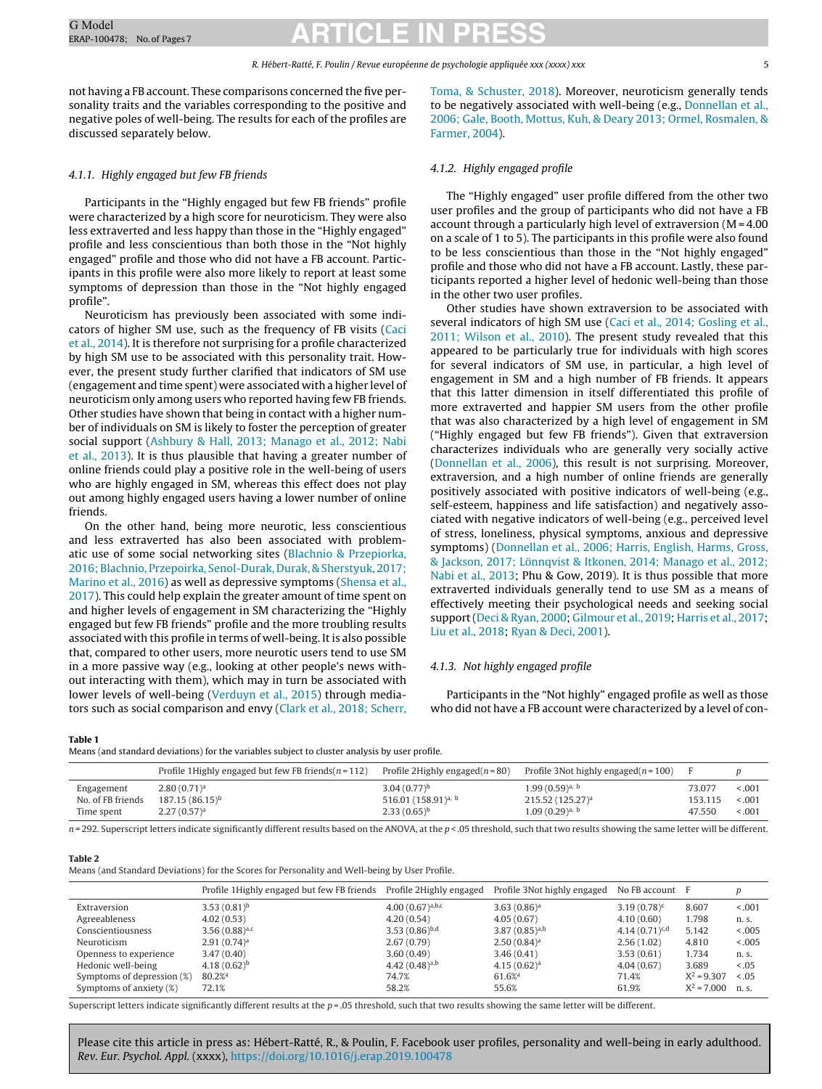<span id="page-4-0"></span>not having a FB account. These comparisons concerned the five personality traits and the variables corresponding to the positive and negative poles of well-being. The results for each of the profiles are discussed separately below.

#### 4.1.1. Highly engaged but few FB friends

Participants in the "Highly engaged but few FB friends" profile were characterized by a high score for neuroticism. They were also less extraverted and less happy than those in the "Highly engaged" profile and less conscientious than both those in the "Not highly engaged" profile and those who did not have a FB account. Participants in this profile were also more likely to report at least some symptoms of depression than those in the "Not highly engaged profile".

Neuroticism has previously been associated with some indicators of higher SM use, such as the frequency of FB visits ([Caci](#page-5-0) et [al.,](#page-5-0) [2014\).](#page-5-0) It is therefore not surprising for a profile characterized by high SM use to be associated with this personality trait. However, the present study further clarified that indicators of SM use (engagement and time spent) were associated with a higher level of neuroticism only among users who reported having few FB friends. Other studies have shown that being in contact with a higher number of individuals on SM is likely to foster the perception of greater social support ([Ashbury](#page-5-0) [&](#page-5-0) [Hall,](#page-5-0) [2013;](#page-5-0) [Manago](#page-5-0) et [al.,](#page-5-0) [2012;](#page-5-0) [Nabi](#page-5-0) et [al.,](#page-5-0) [2013\).](#page-5-0) It is thus plausible that having a greater number of online friends could play a positive role in the well-being of users who are highly engaged in SM, whereas this effect does not play out among highly engaged users having a lower number of online friends.

On the other hand, being more neurotic, less conscientious and less extraverted has also been associated with problematic use of some social networking sites [\(Blachnio](#page-5-0) [&](#page-5-0) [Przepiorka,](#page-5-0) [2016;](#page-5-0) [Blachnio,](#page-5-0) [Przepoirka,](#page-5-0) [Senol-Durak,](#page-5-0) [Durak,](#page-5-0) [&](#page-5-0) [Sherstyuk,](#page-5-0) [2017;](#page-5-0) [Marino](#page-5-0) et [al.,](#page-5-0) [2016\)](#page-5-0) as well as depressive symptoms [\(Shensa](#page-6-0) et [al.,](#page-6-0) [2017\).](#page-6-0) This could help explain the greater amount of time spent on and higher levels of engagement in SM characterizing the "Highly engaged but few FB friends" profile and the more troubling results associated with this profile in terms of well-being. It is also possible that, compared to other users, more neurotic users tend to use SM in a more passive way (e.g., looking at other people's news without interacting with them), which may in turn be associated with lower levels of well-being [\(Verduyn](#page-6-0) et [al.,](#page-6-0) [2015\)](#page-6-0) through mediators such as social comparison and envy ([Clark](#page-5-0) et [al.,](#page-5-0) [2018;](#page-5-0) [Scherr,](#page-5-0) [Toma,](#page-5-0) [&](#page-5-0) [Schuster,](#page-5-0) [2018\).](#page-5-0) Moreover, neuroticism generally tends to be negatively associated with well-being (e.g., [Donnellan](#page-6-0) et [al.,](#page-6-0) [2006;](#page-6-0) [Gale,](#page-6-0) [Booth,](#page-6-0) [Mottus,](#page-6-0) [Kuh,](#page-6-0) [&](#page-6-0) [Deary](#page-6-0) [2013;](#page-6-0) [Ormel,](#page-6-0) [Rosmalen,](#page-6-0) [&](#page-6-0) [Farmer,](#page-6-0) [2004\).](#page-6-0)

## 4.1.2. Highly engaged profile

The "Highly engaged" user profile differed from the other two user profiles and the group of participants who did not have a FB account through a particularly high level of extraversion (M = 4.00 on a scale of 1 to 5). The participants in this profile were also found to be less conscientious than those in the "Not highly engaged" profile and those who did not have a FB account. Lastly, these participants reported a higher level of hedonic well-being than those in the other two user profiles.

Other studies have shown extraversion to be associated with several indicators of high SM use ([Caci](#page-5-0) et [al.,](#page-5-0) [2014;](#page-5-0) [Gosling](#page-5-0) et [al.,](#page-5-0) [2011;](#page-5-0) [Wilson](#page-5-0) et [al.,](#page-5-0) [2010\).](#page-5-0) The present study revealed that this appeared to be particularly true for individuals with high scores for several indicators of SM use, in particular, a high level of engagement in SM and a high number of FB friends. It appears that this latter dimension in itself differentiated this profile of more extraverted and happier SM users from the other profile that was also characterized by a high level of engagement in SM ("Highly engaged but few FB friends"). Given that extraversion characterizes individuals who are generally very socially active [\(Donnellan](#page-6-0) et [al.,](#page-6-0) [2006\),](#page-6-0) this result is not surprising. Moreover, extraversion, and a high number of online friends are generally positively associated with positive indicators of well-being (e.g., self-esteem, happiness and life satisfaction) and negatively associated with negative indicators of well-being (e.g., perceived level of stress, loneliness, physical symptoms, anxious and depressive symptoms) ([Donnellan](#page-6-0) et [al.,](#page-6-0) [2006;](#page-6-0) [Harris,](#page-6-0) [English,](#page-6-0) [Harms,](#page-6-0) [Gross,](#page-6-0) [&](#page-6-0) [Jackson,](#page-6-0) [2017;](#page-6-0) [Lönnqvist](#page-6-0) [&](#page-6-0) [Itkonen,](#page-6-0) [2014;](#page-6-0) [Manago](#page-6-0) et [al.,](#page-6-0) [2012;](#page-6-0) [Nabi](#page-6-0) et [al.,](#page-6-0) [2013;](#page-6-0) Phu & Gow, 2019). It is thus possible that more extraverted individuals generally tend to use SM as a means of effectively meeting their psychological needs and seeking social support([Deci](#page-5-0) [&](#page-5-0) [Ryan,](#page-5-0) [2000;](#page-5-0) [Gilmour](#page-6-0) et [al.,](#page-6-0) [2019;](#page-6-0) [Harris](#page-6-0) et [al.,](#page-6-0) [2017;](#page-6-0) [Liu](#page-6-0) et [al.,](#page-6-0) [2018;](#page-6-0) [Ryan](#page-6-0) [&](#page-6-0) [Deci,](#page-6-0) [2001\).](#page-6-0)

#### 4.1.3. Not highly engaged profile

Participants in the "Not highly" engaged profile as well as those who did not have a FB account were characterized by a level of con-

#### **Table 1**

Means (and standard deviations) for the variables subject to cluster analysis by user profile.

|                   | Profile 1 Highly engaged but few FB friends $(n = 112)$ | Profile 2Highly engaged( $n = 80$ ) | Profile 3Not highly engaged $(n=100)$ |         |         |
|-------------------|---------------------------------------------------------|-------------------------------------|---------------------------------------|---------|---------|
| Engagement        | $2.80(0.71)^a$                                          | $3.04(0.77)^{b}$                    | $1.99(0.59)^{a, b}$                   | 73.077  | <.001   |
| No. of FB friends | $187.15(86.15)^{b}$                                     | 516.01 (158.91) <sup>a, b</sup>     | 215.52 (125.27) <sup>a</sup>          | 153.115 | < 0.001 |
| Time spent        | $2.27(0.57)^a$                                          | $2.33(0.65)^{b}$                    | 1.09 (0.29) <sup>a, b</sup>           | 47.550  | < 0.001 |

 $n = 292$ . Superscript letters indicate significantly different results based on the ANOVA, at the  $p < .05$  threshold, such that two results showing the same letter will be different.

#### **Table 2**

Means (and Standard Deviations) for the Scores for Personality and Well-being by User Profile.

|                            | Profile 1 Highly engaged but few FB friends Profile 2 Highly engaged |                      | Profile 3Not highly engaged | No FB account F    |               | Ď       |
|----------------------------|----------------------------------------------------------------------|----------------------|-----------------------------|--------------------|---------------|---------|
| Extraversion               | $(0.81)^{b}$                                                         | $4.00(0.67)^{a,b,c}$ | $3.63(0.86)^a$              | $3.19(0.78)^c$     | 8.607         | $-.001$ |
| Agreeableness              | 4.02(0.53)                                                           | 4.20(0.54)           | 4.05(0.67)                  | 4.10(0.60)         | .798          | n. s.   |
| Conscientiousness          | $3.56(0.88)^{a,c}$                                                   | $3.53(0.86)^{b,d}$   | $3.87(0.85)^{a,b}$          | $4.14(0.71)^{c,d}$ | 5.142         | < 0.005 |
| Neuroticism                | $2.91(0.74)^a$                                                       | 2.67(0.79)           | $2.50(0.84)^a$              | 2.56(1.02)         | 4.810         | 3.005   |
| Openness to experience     | 3.47(0.40)                                                           | 3.60(0.49)           | 3.46(0.41)                  | 3.53(0.61)         | .734          | n. s.   |
| Hedonic well-being         | 4.18 $(0.62)^{b}$                                                    | 4.42 $(0.48)^{a,b}$  | $4.15(0.62)^a$              | 4.04(0.67)         | 3.689         | 3.05    |
| Symptoms of depression (%) | 80.2%                                                                | 74.7%                | $61.6%$ <sup>a</sup>        | 71.4%              | $X^2 = 9.307$ | 3.05    |
| Symptoms of anxiety (%)    | 72.1%                                                                | 58.2%                | 55.6%                       | 61.9%              | $X^2 = 7.000$ | n. s.   |

Superscript letters indicate significantly different results at the  $p = .05$  threshold, such that two results showing the same letter will be different.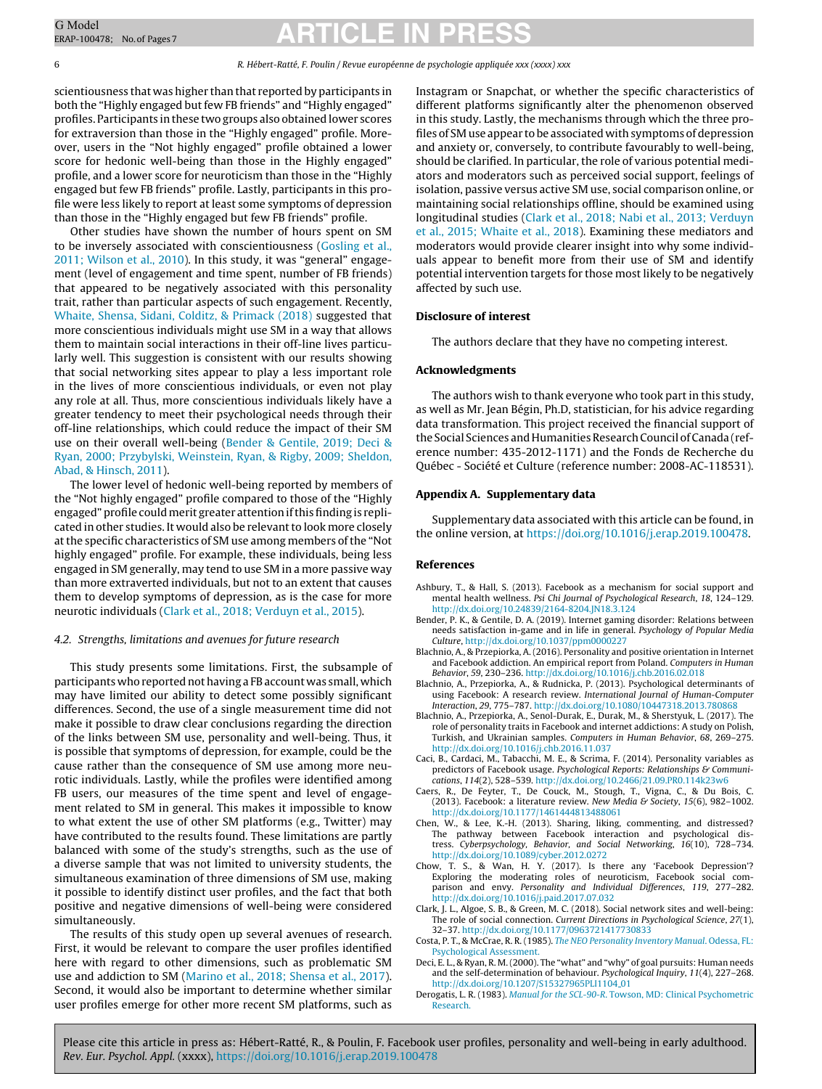#### 6 R. Hébert-Ratté, F. Poulin / Revue européenne de psychologie appliquée xxx (xxxx) xxx

scientiousness that was higher than that reported by participants in both the "Highly engaged but few FB friends" and "Highly engaged" profiles. Participants in these two groups also obtained lower scores for extraversion than those in the "Highly engaged" profile. Moreover, users in the "Not highly engaged" profile obtained a lower score for hedonic well-being than those in the Highly engaged" profile, and a lower score for neuroticism than those in the "Highly engaged but few FB friends" profile. Lastly, participants in this profile were less likely to report at least some symptoms of depression than those in the "Highly engaged but few FB friends" profile.

Other studies have shown the number of hours spent on SM to be inversely associated with conscientiousness ([Gosling](#page-6-0) et [al.,](#page-6-0) [2011;](#page-6-0) [Wilson](#page-6-0) et [al.,](#page-6-0) [2010\).](#page-6-0) In this study, it was "general" engagement (level of engagement and time spent, number of FB friends) that appeared to be negatively associated with this personality trait, rather than particular aspects of such engagement. Recently, [Whaite,](#page-6-0) [Shensa,](#page-6-0) [Sidani,](#page-6-0) [Colditz,](#page-6-0) [&](#page-6-0) [Primack](#page-6-0) [\(2018\)](#page-6-0) suggested that more conscientious individuals might use SM in a way that allows them to maintain social interactions in their off-line lives particularly well. This suggestion is consistent with our results showing that social networking sites appear to play a less important role in the lives of more conscientious individuals, or even not play any role at all. Thus, more conscientious individuals likely have a greater tendency to meet their psychological needs through their off-line relationships, which could reduce the impact of their SM use on their overall well-being (Bender & Gentile, 2019; Deci & Ryan, 2000; Przybylski, Weinstein, Ryan, & Rigby, 2009; Sheldon, Abad, & Hinsch, 2011).

The lower level of hedonic well-being reported by members of the "Not highly engaged" profile compared to those of the "Highly engaged" profile could merit greater attention if this finding is replicated in other studies. It would also be relevant to look more closely at the specific characteristics of SM use among members of the "Not highly engaged" profile. For example, these individuals, being less engaged in SM generally, may tend to use SM in a more passive way than more extraverted individuals, but not to an extent that causes them to develop symptoms of depression, as is the case for more neurotic individuals (Clark et al., 2018; Verduyn et al., 2015).

### 4.2. Strengths, limitations and avenues for future research

This study presents some limitations. First, the subsample of participants who reported not having a FB account was small, which may have limited our ability to detect some possibly significant differences. Second, the use of a single measurement time did not make it possible to draw clear conclusions regarding the direction of the links between SM use, personality and well-being. Thus, it is possible that symptoms of depression, for example, could be the cause rather than the consequence of SM use among more neurotic individuals. Lastly, while the profiles were identified among FB users, our measures of the time spent and level of engagement related to SM in general. This makes it impossible to know to what extent the use of other SM platforms (e.g., Twitter) may have contributed to the results found. These limitations are partly balanced with some of the study's strengths, such as the use of a diverse sample that was not limited to university students, the simultaneous examination of three dimensions of SM use, making it possible to identify distinct user profiles, and the fact that both positive and negative dimensions of well-being were considered simultaneously.

The results of this study open up several avenues of research. First, it would be relevant to compare the user profiles identified here with regard to other dimensions, such as problematic SM use and addiction to SM ([Marino](#page-6-0) et [al.,](#page-6-0) [2018;](#page-6-0) [Shensa](#page-6-0) et [al.,](#page-6-0) [2017\).](#page-6-0) Second, it would also be important to determine whether similar user profiles emerge for other more recent SM platforms, such as

Instagram or Snapchat, or whether the specific characteristics of different platforms significantly alter the phenomenon observed in this study. Lastly, the mechanisms through which the three profiles of SM use appear to be associated with symptoms of depression and anxiety or, conversely, to contribute favourably to well-being, should be clarified. In particular, the role of various potential mediators and moderators such as perceived social support, feelings of isolation, passive versus active SM use, social comparison online, or maintaining social relationships offline, should be examined using longitudinal studies (Clark et al., 2018; Nabi et al., 2013; Verduyn et al., 2015; Whaite et al., 2018). Examining these mediators and moderators would provide clearer insight into why some individuals appear to benefit more from their use of SM and identify potential intervention targets for those most likely to be negatively affected by such use.

## **Disclosure of interest**

The authors declare that they have no competing interest.

## **Acknowledgments**

The authors wish to thank everyone who took part in this study, as well as Mr. Jean Bégin, Ph.D, statistician, for his advice regarding data transformation. This project received the financial support of the Social Sciences and Humanities Research Council of Canada (reference number: 435-2012-1171) and the Fonds de Recherche du Québec - Société et Culture (reference number: 2008-AC-118531).

## **Appendix A. Supplementary data**

Supplementary data associated with this article can be found, in the online version, at [https://doi.org/10.1016/j.erap.2019.100478.](https://doi.org/10.1016/j.erap.2019.100478)

#### **References**

- Ashbury, T., & Hall, S. (2013). Facebook as a mechanism for social support and mental health wellness. Psi Chi Journal of Psychological Research, 18, 124-129. [http://dx.doi.org/10.24839/2164-8204.JN18.3.124](dx.doi.org/10.24839/2164-8204.JN18.3.124)
- Bender, P. K., & Gentile, D. A. (2019). Internet gaming disorder: Relations between needs satisfaction in-game and in life in general. Psychology of Popular Media Culture, [http://dx.doi.org/10.1037/ppm0000227](dx.doi.org/10.1037/ppm0000227)
- Blachnio, A., & Przepiorka, A. (2016). Personality and positive orientation in Internet and Facebook addiction. An empirical report from Poland. Computers in Human
- Behavior, 59, 230–236. [http://dx.doi.org/10.1016/j.chb.2016.02.018](dx.doi.org/10.1016/j.chb.2016.02.018) Blachnio, A., Przepiorka, A., & Rudnicka, P. (2013). Psychological determinants of using Facebook: A research review. International Journal of Human-Computer Interaction, 29, 775–787. [http://dx.doi.org/10.1080/10447318.2013.780868](dx.doi.org/10.1080/10447318.2013.780868)
- Blachnio, A., Przepiorka, A., Senol-Durak, E., Durak, M., & Sherstyuk, L. (2017). The role of personality traits in Facebook and internet addictions: A study on Polish, Turkish, and Ukrainian samples. Computers in Human Behavior, 68, 269–275. [http://dx.doi.org/10.1016/j.chb.2016.11.037](dx.doi.org/10.1016/j.chb.2016.11.037)
- Caci, B., Cardaci, M., Tabacchi, M. E., & Scrima, F. (2014). Personality variables as predictors of Facebook usage. Psychological Reports: Relationships & Communications, 114(2), 528–539. [http://dx.doi.org/10.2466/21.09.PR0.114k23w6](dx.doi.org/10.2466/21.09.PR0.114k23w6)
- Caers, R., De Feyter, T., De Couck, M., Stough, T., Vigna, C., & Du Bois, C. (2013). Facebook: a literature review. New Media & Society, 15(6), 982-1002. [http://dx.doi.org/10.1177/1461444813488061](dx.doi.org/10.1177/1461444813488061)
- Chen, W., & Lee, K.-H. (2013). Sharing, liking, commenting, and distressed? The pathway between Facebook interaction and psychological distress. Cyberpsychology, Behavior, and Social Networking, 16(10), 728–734. [http://dx.doi.org/10.1089/cyber.2012.0272](dx.doi.org/10.1089/cyber.2012.0272)
- Chow, T. S., & Wan, H. Y. (2017). Is there any 'Facebook Depression'? Exploring the moderating roles of neuroticism, Facebook social comparison and envy. Personality and Individual Differences, 119, 277–282. [http://dx.doi.org/10.1016/j.paid.2017.07.032](dx.doi.org/10.1016/j.paid.2017.07.032)
- Clark, J. L., Algoe, S. B., & Green, M. C. (2018). Social network sites and well-being: The role of social connection. Current Directions in Psychological Science, 27(1), 32–37. [http://dx.doi.org/10.1177/0963721417730833](dx.doi.org/10.1177/0963721417730833)
- Costa, P. T., & McCrae, R. R. (1985). [The](http://refhub.elsevier.com/S1162-9088(19)30063-5/sbref0065) [NEO](http://refhub.elsevier.com/S1162-9088(19)30063-5/sbref0065) [Personality](http://refhub.elsevier.com/S1162-9088(19)30063-5/sbref0065) [Inventory](http://refhub.elsevier.com/S1162-9088(19)30063-5/sbref0065) [Manual](http://refhub.elsevier.com/S1162-9088(19)30063-5/sbref0065)[.](http://refhub.elsevier.com/S1162-9088(19)30063-5/sbref0065) [Odessa,](http://refhub.elsevier.com/S1162-9088(19)30063-5/sbref0065) [FL:](http://refhub.elsevier.com/S1162-9088(19)30063-5/sbref0065) [Psychological](http://refhub.elsevier.com/S1162-9088(19)30063-5/sbref0065) [Assessment.](http://refhub.elsevier.com/S1162-9088(19)30063-5/sbref0065)
- Deci, E. L., & Ryan, R. M.(2000). The "what" and "why" of goal pursuits: Human needs and the self-determination of behaviour. Psychological Inquiry, 11(4), 227–268. [http://dx.doi.org/10.1207/S15327965PLI1104](dx.doi.org/10.1207/S15327965PLI1104_01) 01
- Derogatis, L. R. (1983). [Manual](http://refhub.elsevier.com/S1162-9088(19)30063-5/sbref0075) [for](http://refhub.elsevier.com/S1162-9088(19)30063-5/sbref0075) [the](http://refhub.elsevier.com/S1162-9088(19)30063-5/sbref0075) [SCL-90-R](http://refhub.elsevier.com/S1162-9088(19)30063-5/sbref0075)[.](http://refhub.elsevier.com/S1162-9088(19)30063-5/sbref0075) [Towson,](http://refhub.elsevier.com/S1162-9088(19)30063-5/sbref0075) [MD:](http://refhub.elsevier.com/S1162-9088(19)30063-5/sbref0075) [Clinical](http://refhub.elsevier.com/S1162-9088(19)30063-5/sbref0075) [Psychometric](http://refhub.elsevier.com/S1162-9088(19)30063-5/sbref0075) **Research**

<span id="page-5-0"></span>